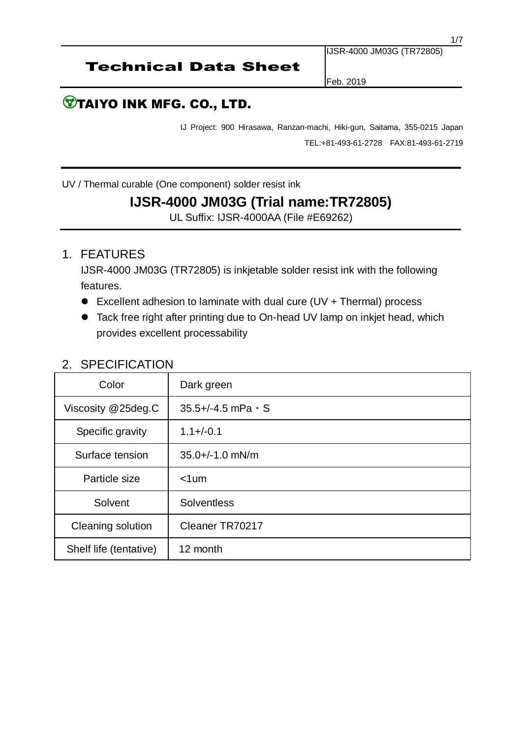IJSR-4000 JM03G (TR72805)

Feb. 2019

# **TAIYO INK MFG. CO., LTD.**

IJ Project: 900 Hirasawa, Ranzan-machi, Hiki-gun, Saitama, 355-0215 Japan TEL:+81-493-61-2728 FAX:81-493-61-2719

UV / Thermal curable (One component) solder resist ink

# **IJSR-4000 JM03G (Trial name:TR72805)**

UL Suffix: IJSR-4000AA (File #E69262)

### 1. FEATURES

IJSR-4000 JM03G (TR72805) is inkjetable solder resist ink with the following features.

- Excellent adhesion to laminate with dual cure (UV + Thermal) process
- Tack free right after printing due to On-head UV lamp on inkjet head, which provides excellent processability

| Color                  | Dark green                    |  |
|------------------------|-------------------------------|--|
| Viscosity @25deg.C     | $35.5 + (-4.5)$ mPa $\cdot$ S |  |
| Specific gravity       | $1.1 + (-0.1)$                |  |
| Surface tension        | $35.0+/-1.0$ mN/m             |  |
| Particle size          | $< 1$ um                      |  |
| Solvent                | <b>Solventless</b>            |  |
| Cleaning solution      | Cleaner TR70217               |  |
| Shelf life (tentative) | 12 month                      |  |

## 2. SPECIFICATION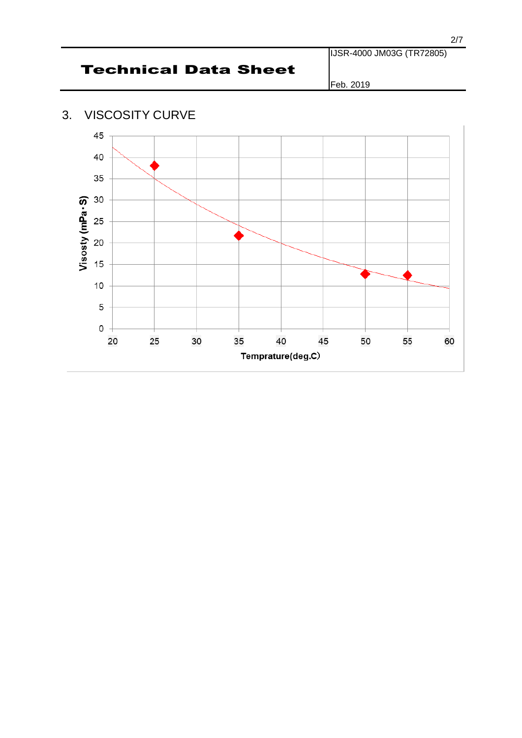Feb. 2019

## 3. VISCOSITY CURVE

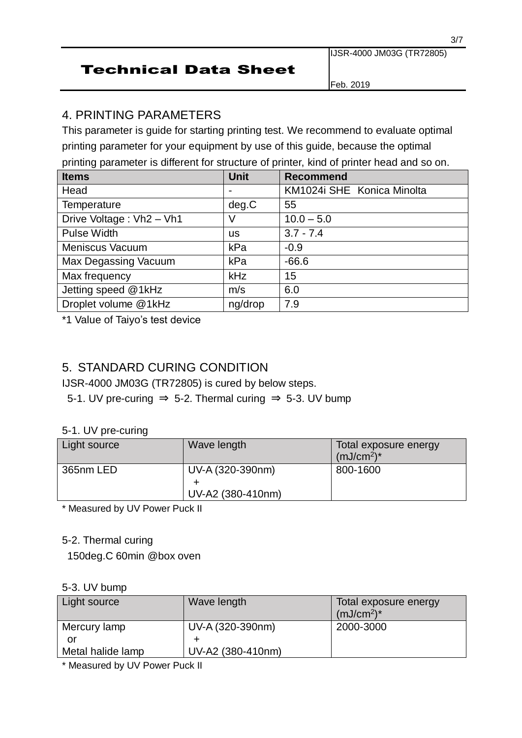IJSR-4000 JM03G (TR72805)

Feb. 2019

# 4. PRINTING PARAMETERS

This parameter is guide for starting printing test. We recommend to evaluate optimal printing parameter for your equipment by use of this guide, because the optimal printing parameter is different for structure of printer, kind of printer head and so on.

| <b>Items</b>             | <b>Unit</b> | <b>Recommend</b>           |
|--------------------------|-------------|----------------------------|
| Head                     |             | KM1024i SHE Konica Minolta |
| <b>Temperature</b>       | deg.C       | 55                         |
| Drive Voltage: Vh2 - Vh1 | V           | $10.0 - 5.0$               |
| <b>Pulse Width</b>       | us          | $3.7 - 7.4$                |
| <b>Meniscus Vacuum</b>   | kPa         | $-0.9$                     |
| Max Degassing Vacuum     | kPa         | $-66.6$                    |
| Max frequency            | <b>kHz</b>  | 15                         |
| Jetting speed @1kHz      | m/s         | 6.0                        |
| Droplet volume @1kHz     | ng/drop     | 7.9                        |

\*1 Value of Taiyo's test device

### 5. STANDARD CURING CONDITION

IJSR-4000 JM03G (TR72805) is cured by below steps.

5-1. UV pre-curing  $\Rightarrow$  5-2. Thermal curing  $\Rightarrow$  5-3. UV bump

#### 5-1. UV pre-curing

| Light source | Wave length                           | Total exposure energy<br>$(mJ/cm2)*$ |
|--------------|---------------------------------------|--------------------------------------|
| 365nm LED    | UV-A (320-390nm)<br>UV-A2 (380-410nm) | 800-1600                             |

\* Measured by UV Power Puck II

#### 5-2. Thermal curing

150deg.C 60min @box oven

#### 5-3. UV bump

| Light source      | Wave length       | Total exposure energy<br>$(mJ/cm2)*$ |
|-------------------|-------------------|--------------------------------------|
| Mercury lamp      | UV-A (320-390nm)  | 2000-3000                            |
| or                |                   |                                      |
| Metal halide lamp | UV-A2 (380-410nm) |                                      |
|                   |                   |                                      |

\* Measured by UV Power Puck II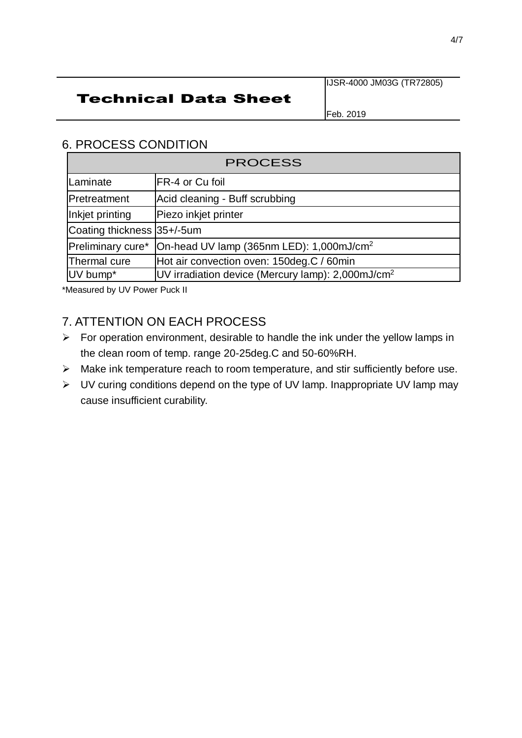### IJSR-4000 JM03G (TR72805)

# Technical Data Sheet

Feb. 2019

### 6. PROCESS CONDITION

| <b>PROCESS</b>             |                                                                          |  |
|----------------------------|--------------------------------------------------------------------------|--|
| Laminate                   | FR-4 or Cu foil                                                          |  |
| Pretreatment               | Acid cleaning - Buff scrubbing                                           |  |
| Inkjet printing            | Piezo inkjet printer                                                     |  |
| Coating thickness 35+/-5um |                                                                          |  |
|                            | Preliminary cure*   On-head UV lamp (365nm LED): 1,000mJ/cm <sup>2</sup> |  |
| Thermal cure               | Hot air convection oven: 150deg.C / 60min                                |  |
| UV bump*                   | UV irradiation device (Mercury lamp): $2,000 \text{mJ/cm}^2$             |  |

\*Measured by UV Power Puck II

# 7. ATTENTION ON EACH PROCESS

- $\triangleright$  For operation environment, desirable to handle the ink under the yellow lamps in the clean room of temp. range 20-25deg.C and 50-60%RH.
- ➢ Make ink temperature reach to room temperature, and stir sufficiently before use.
- ➢ UV curing conditions depend on the type of UV lamp. Inappropriate UV lamp may cause insufficient curability.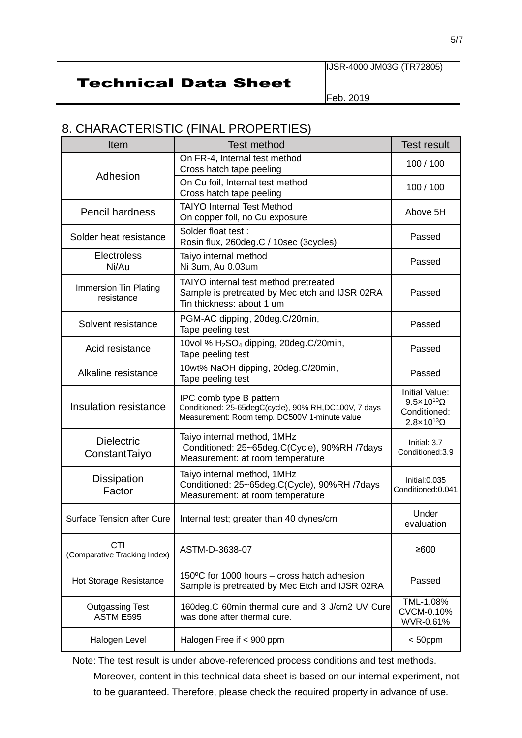#### IJSR-4000 JM03G (TR72805)

# Technical Data Sheet

Feb. 2019

# 8. CHARACTERISTIC (FINAL PROPERTIES)

| Item                                       | <b>Test method</b>                                                                                                                | <b>Test result</b>                                                                                  |
|--------------------------------------------|-----------------------------------------------------------------------------------------------------------------------------------|-----------------------------------------------------------------------------------------------------|
|                                            | On FR-4, Internal test method<br>Cross hatch tape peeling                                                                         | 100 / 100                                                                                           |
| Adhesion                                   | On Cu foil, Internal test method<br>Cross hatch tape peeling                                                                      | 100 / 100                                                                                           |
| <b>Pencil hardness</b>                     | <b>TAIYO Internal Test Method</b><br>On copper foil, no Cu exposure                                                               | Above 5H                                                                                            |
| Solder heat resistance                     | Solder float test:<br>Rosin flux, 260deg.C / 10sec (3cycles)                                                                      | Passed                                                                                              |
| <b>Electroless</b><br>Ni/Au                | Taiyo internal method<br>Ni 3um, Au 0.03um                                                                                        | Passed                                                                                              |
| Immersion Tin Plating<br>resistance        | TAIYO internal test method pretreated<br>Sample is pretreated by Mec etch and IJSR 02RA<br>Tin thickness: about 1 um              | Passed                                                                                              |
| Solvent resistance                         | PGM-AC dipping, 20deg.C/20min,<br>Tape peeling test                                                                               | Passed                                                                                              |
| Acid resistance                            | 10vol % H <sub>2</sub> SO <sub>4</sub> dipping, 20deg.C/20min,<br>Tape peeling test                                               | Passed                                                                                              |
| Alkaline resistance                        | 10wt% NaOH dipping, 20deg.C/20min,<br>Tape peeling test                                                                           | Passed                                                                                              |
| Insulation resistance                      | IPC comb type B pattern<br>Conditioned: 25-65degC(cycle), 90% RH, DC100V, 7 days<br>Measurement: Room temp. DC500V 1-minute value | <b>Initial Value:</b><br>$9.5 \times 10^{13} \Omega$<br>Conditioned:<br>$2.8 \times 10^{13} \Omega$ |
| <b>Dielectric</b><br>ConstantTaiyo         | Taiyo internal method, 1MHz<br>Conditioned: 25~65deg.C(Cycle), 90%RH /7days<br>Measurement: at room temperature                   | Initial: 3.7<br>Conditioned: 3.9                                                                    |
| <b>Dissipation</b><br>Factor               | Taiyo internal method, 1MHz<br>Conditioned: 25~65deg.C(Cycle), 90%RH /7days<br>Measurement: at room temperature                   | Initial:0.035<br>Conditioned: 0.041                                                                 |
| Surface Tension after Cure                 | Internal test; greater than 40 dynes/cm                                                                                           | Under<br>evaluation                                                                                 |
| <b>CTI</b><br>(Comparative Tracking Index) | ASTM-D-3638-07                                                                                                                    | ≥600                                                                                                |
| Hot Storage Resistance                     | 150°C for 1000 hours – cross hatch adhesion<br>Sample is pretreated by Mec Etch and IJSR 02RA                                     | Passed                                                                                              |
| <b>Outgassing Test</b><br>ASTM E595        | 160deg.C 60min thermal cure and 3 J/cm2 UV Cure<br>was done after thermal cure.                                                   | TML-1.08%<br>CVCM-0.10%<br>WVR-0.61%                                                                |
| Halogen Level                              | Halogen Free if < 900 ppm                                                                                                         | $< 50$ ppm                                                                                          |

Note: The test result is under above-referenced process conditions and test methods.

Moreover, content in this technical data sheet is based on our internal experiment, not to be guaranteed. Therefore, please check the required property in advance of use.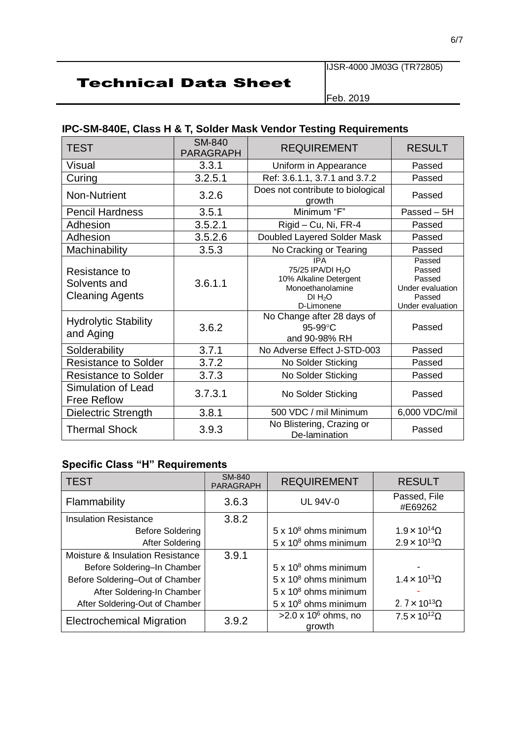IJSR-4000 JM03G (TR72805)

Feb. 2019

### **IPC-SM-840E, Class H & T, Solder Mask Vendor Testing Requirements**

| <b>TEST</b>                                             | <b>SM-840</b><br><b>PARAGRAPH</b> | <b>REQUIREMENT</b>                                                                                                             | <b>RESULT</b>                                                                |
|---------------------------------------------------------|-----------------------------------|--------------------------------------------------------------------------------------------------------------------------------|------------------------------------------------------------------------------|
| <b>Visual</b>                                           | 3.3.1                             | Uniform in Appearance                                                                                                          | Passed                                                                       |
| Curing                                                  | 3.2.5.1                           | Ref: 3.6.1.1, 3.7.1 and 3.7.2                                                                                                  | Passed                                                                       |
| Non-Nutrient                                            | 3.2.6                             | Does not contribute to biological<br>growth                                                                                    | Passed                                                                       |
| <b>Pencil Hardness</b>                                  | 3.5.1                             | Minimum "F"                                                                                                                    | Passed $-5H$                                                                 |
| Adhesion                                                | 3.5.2.1                           | Rigid - Cu, Ni, FR-4                                                                                                           | Passed                                                                       |
| Adhesion                                                | 3.5.2.6                           | Doubled Layered Solder Mask                                                                                                    | Passed                                                                       |
| Machinability                                           | 3.5.3                             | No Cracking or Tearing                                                                                                         | Passed                                                                       |
| Resistance to<br>Solvents and<br><b>Cleaning Agents</b> | 3.6.1.1                           | <b>IPA</b><br>75/25 IPA/DI H <sub>2</sub> O<br>10% Alkaline Detergent<br>Monoethanolamine<br>DI H <sub>2</sub> O<br>D-Limonene | Passed<br>Passed<br>Passed<br>Under evaluation<br>Passed<br>Under evaluation |
| <b>Hydrolytic Stability</b><br>and Aging                | 3.6.2                             | No Change after 28 days of<br>$95-99$ °C<br>and 90-98% RH                                                                      | Passed                                                                       |
| Solderability                                           | 3.7.1                             | No Adverse Effect J-STD-003                                                                                                    | Passed                                                                       |
| <b>Resistance to Solder</b>                             | 3.7.2                             | No Solder Sticking                                                                                                             | Passed                                                                       |
| <b>Resistance to Solder</b>                             | 3.7.3                             | No Solder Sticking                                                                                                             | Passed                                                                       |
| Simulation of Lead<br><b>Free Reflow</b>                | 3.7.3.1                           | No Solder Sticking                                                                                                             | Passed                                                                       |
| Dielectric Strength                                     | 3.8.1                             | 500 VDC / mil Minimum                                                                                                          | 6,000 VDC/mil                                                                |
| <b>Thermal Shock</b>                                    | 3.9.3                             | No Blistering, Crazing or<br>De-lamination                                                                                     | Passed                                                                       |

### **Specific Class "H" Requirements**

| <b>TEST</b>                      | <b>SM-840</b><br><b>PARAGRAPH</b> | <b>REQUIREMENT</b>                    | <b>RESULT</b>                |
|----------------------------------|-----------------------------------|---------------------------------------|------------------------------|
| Flammability                     | 3.6.3                             | <b>UL 94V-0</b>                       | Passed, File<br>#E69262      |
| <b>Insulation Resistance</b>     | 3.8.2                             |                                       |                              |
| <b>Before Soldering</b>          |                                   | $5 \times 10^8$ ohms minimum          | $1.9 \times 10^{14} \Omega$  |
| After Soldering                  |                                   | $5 \times 10^8$ ohms minimum          | $2.9 \times 10^{13} \Omega$  |
| Moisture & Insulation Resistance | 3.9.1                             |                                       |                              |
| Before Soldering-In Chamber      |                                   | $5 \times 10^8$ ohms minimum          |                              |
| Before Soldering-Out of Chamber  |                                   | $5 \times 10^8$ ohms minimum          | $1.4 \times 10^{13}$ Ω       |
| After Soldering-In Chamber       |                                   | $5 \times 10^8$ ohms minimum          |                              |
| After Soldering-Out of Chamber   |                                   | $5 \times 10^8$ ohms minimum          | 2. $7 \times 10^{13} \Omega$ |
| <b>Electrochemical Migration</b> | 3.9.2                             | $>2.0 \times 10^6$ ohms, no<br>growth | $7.5 \times 10^{12} \Omega$  |